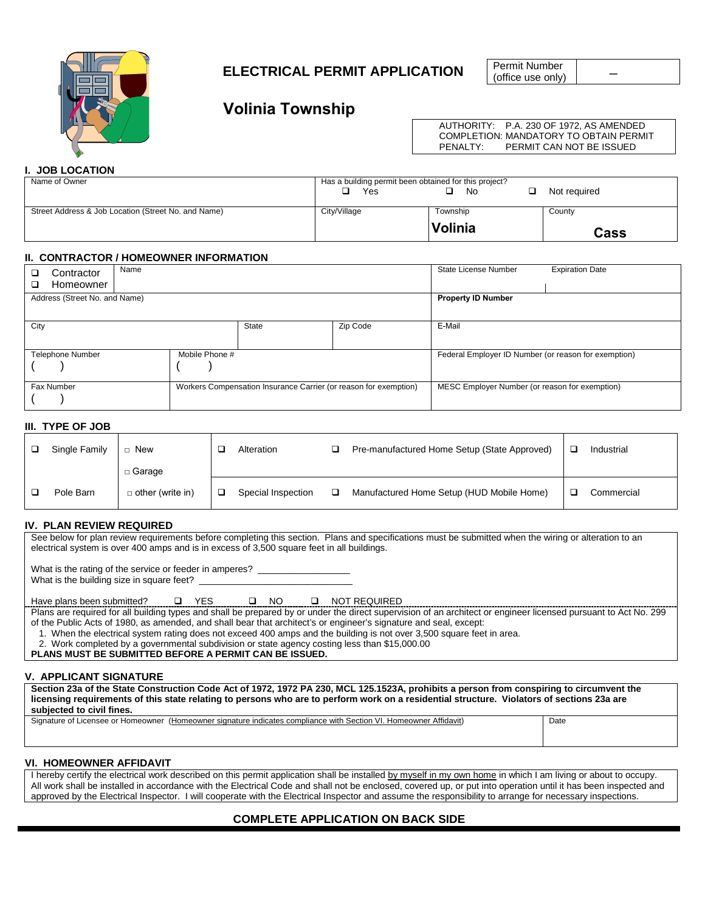

# **ELECTRICAL PERMIT APPLICATION**

Permit Number<br>(office use only)

# **Volinia Township**

AUTHORITY: P.A. 230 OF 1972, AS AMENDED COMPLETION: MANDATORY TO OBTAIN PERMIT<br>PENALTY: PERMIT CAN NOT BE ISSUED PERMIT CAN NOT BE ISSUED

## **I. JOB LOCATION**

| Has a building permit been obtained for this project? |          |              |  |  |  |
|-------------------------------------------------------|----------|--------------|--|--|--|
| Yes                                                   | No       | Not required |  |  |  |
|                                                       |          |              |  |  |  |
| City/Village                                          | Township | County       |  |  |  |
|                                                       |          |              |  |  |  |
|                                                       |          | Cass         |  |  |  |
|                                                       |          | Volinia      |  |  |  |

#### **II. CONTRACTOR / HOMEOWNER INFORMATION**

| Name<br>Contractor<br>Homeowner<br>□ |                |                                                                  |          | State License Number                                 | <b>Expiration Date</b> |  |  |
|--------------------------------------|----------------|------------------------------------------------------------------|----------|------------------------------------------------------|------------------------|--|--|
| Address (Street No. and Name)        |                |                                                                  |          | <b>Property ID Number</b>                            |                        |  |  |
| City                                 |                | <b>State</b>                                                     | Zip Code | E-Mail                                               |                        |  |  |
| <b>Telephone Number</b>              | Mobile Phone # |                                                                  |          | Federal Employer ID Number (or reason for exemption) |                        |  |  |
| Fax Number                           |                | Workers Compensation Insurance Carrier (or reason for exemption) |          | MESC Employer Number (or reason for exemption)       |                        |  |  |

#### **III. TYPE OF JOB**

| Single Family | New                     | Alteration         | ⊐ | Pre-manufactured Home Setup (State Approved) | Industrial |
|---------------|-------------------------|--------------------|---|----------------------------------------------|------------|
|               | $\Box$ Garage           |                    |   |                                              |            |
| Pole Barn     | $\Box$ other (write in) | Special Inspection |   | Manufactured Home Setup (HUD Mobile Home)    | Commercial |

#### **IV. PLAN REVIEW REQUIRED**

See below for plan review requirements before completing this section. Plans and specifications must be submitted when the wiring or alteration to an electrical system is over 400 amps and is in excess of 3,500 square feet in all buildings.

What is the rating of the service or feeder in amperes? \_

What is the building size in square feet?

Have plans been submitted?  $\Box$  YES  $\Box$  NO  $\Box$  NOT REQUIRED

Plans are required for all building types and shall be prepared by or under the direct supervision of an architect or engineer licensed pursuant to Act No. 299 of the Public Acts of 1980, as amended, and shall bear that architect's or engineer's signature and seal, except:

1. When the electrical system rating does not exceed 400 amps and the building is not over 3,500 square feet in area.

2. Work completed by a governmental subdivision or state agency costing less than \$15,000.00

**PLANS MUST BE SUBMITTED BEFORE A PERMIT CAN BE ISSUED.**

#### **V. APPLICANT SIGNATURE**

**Section 23a of the State Construction Code Act of 1972, 1972 PA 230, MCL 125.1523A, prohibits a person from conspiring to circumvent the licensing requirements of this state relating to persons who are to perform work on a residential structure. Violators of sections 23a are subjected to civil fines.**

Signature of Licensee or Homeowner (Homeowner signature indicates compliance with Section VI. Homeowner Affidavit) Date

#### **VI. HOMEOWNER AFFIDAVIT**

I hereby certify the electrical work described on this permit application shall be installed by myself in my own home in which I am living or about to occupy. All work shall be installed in accordance with the Electrical Code and shall not be enclosed, covered up, or put into operation until it has been inspected and approved by the Electrical Inspector. I will cooperate with the Electrical Inspector and assume the responsibility to arrange for necessary inspections.

# **COMPLETE APPLICATION ON BACK SIDE**